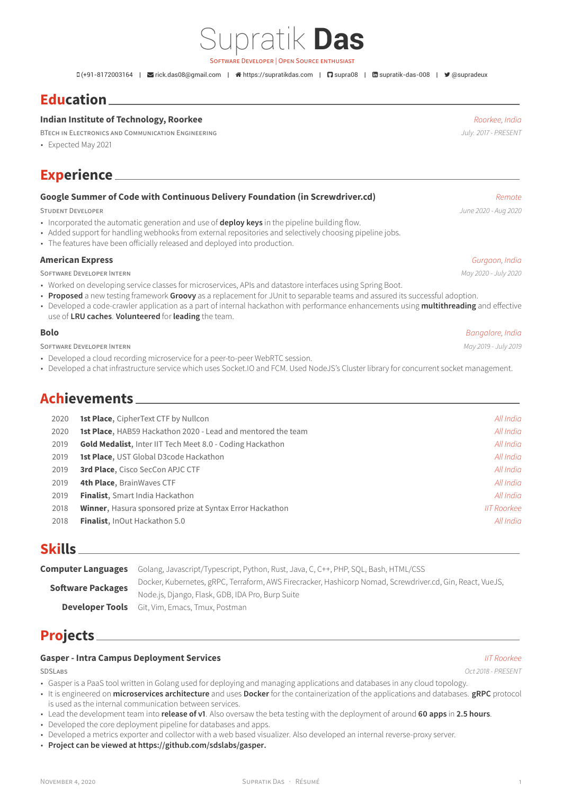# Supratik **Das**

SOFTWARE DEVELOPER | OPEN SOURCE ENTHUSIAST

(+91-8172003164 | [rick.das08@gmail.com](mailto:rick.das08@gmail.com) | [https://supratikdas.com](http://https://supratikdas.com) | [supra08](https://github.com/supra08) | [supratik-das-008](https://www.linkedin.com/in/supratik-das-008) | [@supradeux](https://twitter.com/@supradeux)

## **Education**

#### **Indian Institute of Technology, Roorkee** *Roorkee, India*

BTECH IN ELECTRONICS AND COMMUNICATION ENGINEERING *July. 2017 - PRESENT*

• Expected May 2021

## **Experience**

### **Google Summer of Code with Continuous Delivery Foundation (in Screwdriver.cd)** *Remote*

STUDENT DEVELOPER *June 2020 - Aug 2020*

- Incorporated the automatic generation and use of **deploy keys** in the pipeline building flow.
- Added support for handling webhooks from external repositories and selectively choosing pipeline jobs.
- The features have been officially released and deployed into production.

#### **American Express** *Gurgaon, India*

SOFTWARE DEVELOPER INTERN *May 2020 - July 2020*

- Worked on developing service classes for microservices, APIs and datastore interfaces using Spring Boot.
- **Proposed** a new testing framework **Groovy** as a replacement for JUnit to separable teams and assured its successful adoption.
- Developed a code-crawler application as a part of internal hackathon with performance enhancements using **multithreading** and effective use of **LRU caches**. **Volunteered** for **leading** the team.

#### **Bolo** *Bangalore, India*

SOFTWARE DEVELOPER INTERN *May 2019 - July 2019*

- Developed a cloud recording microservice for a peer-to-peer WebRTC session.
- Developed a chat infrastructure service which uses Socket.IO and FCM. Used NodeJS's Cluster library for concurrent socket management.

## **Achievements**

| 2020 | <b>1st Place, CipherText CTF by Nullcon</b>                          | All India          |
|------|----------------------------------------------------------------------|--------------------|
| 2020 | <b>1st Place</b> , HAB59 Hackathon 2020 - Lead and mentored the team | All India          |
| 2019 | <b>Gold Medalist, Inter IIT Tech Meet 8.0 - Coding Hackathon</b>     | All India          |
| 2019 | 1st Place, UST Global D3code Hackathon                               | All India          |
| 2019 | <b>3rd Place, Cisco SecCon APJC CTF</b>                              | All India          |
| 2019 | 4th Place, BrainWaves CTF                                            | All India          |
| 2019 | Finalist, Smart India Hackathon                                      | All India          |
| 2018 | <b>Winner, Hasura sponsored prize at Syntax Error Hackathon</b>      | <b>IIT Roorkee</b> |
| 2018 | <b>Finalist</b> , InOut Hackathon 5.0                                | All India          |
|      |                                                                      |                    |

## **Skills**

**Computer Languages** Golang, Javascript/Typescript, Python, Rust, Java, C, C++, PHP, SQL, Bash, HTML/CSS **Software Packages** Docker, Kubernetes, gRPC, Terraform, AWS Firecracker, Hashicorp Nomad, Screwdriver.cd, Gin, React, VueJS, Node.js, Django, Flask, GDB, IDA Pro, Burp Suite **Developer Tools** Git, Vim, Emacs, Tmux, Postman

## **Projects**

### **Gasper - Intra Campus Deployment Services** *IIT Roorkee*

SDSLABS *Oct 2018 - PRESENT*

- Gasper is a PaaS tool written in Golang used for deploying and managing applications and databases in any cloud topology.
- It is engineered on **microservices architecture** and uses **Docker** for the containerization of the applications and databases. **gRPC** protocol is used as the internal communication between services.
- Lead the development team into **release of v1**. Also oversaw the beta testing with the deployment of around **60 apps** in **2.5 hours**.
- Developed the core deployment pipeline for databases and apps.
- Developed a metrics exporter and collector with a web based visualizer. Also developed an internal reverse-proxy server.
- **Project can be viewed at [https://github.com/sdslabs/gasper.](https://github.com/sdslabs/gasper)**